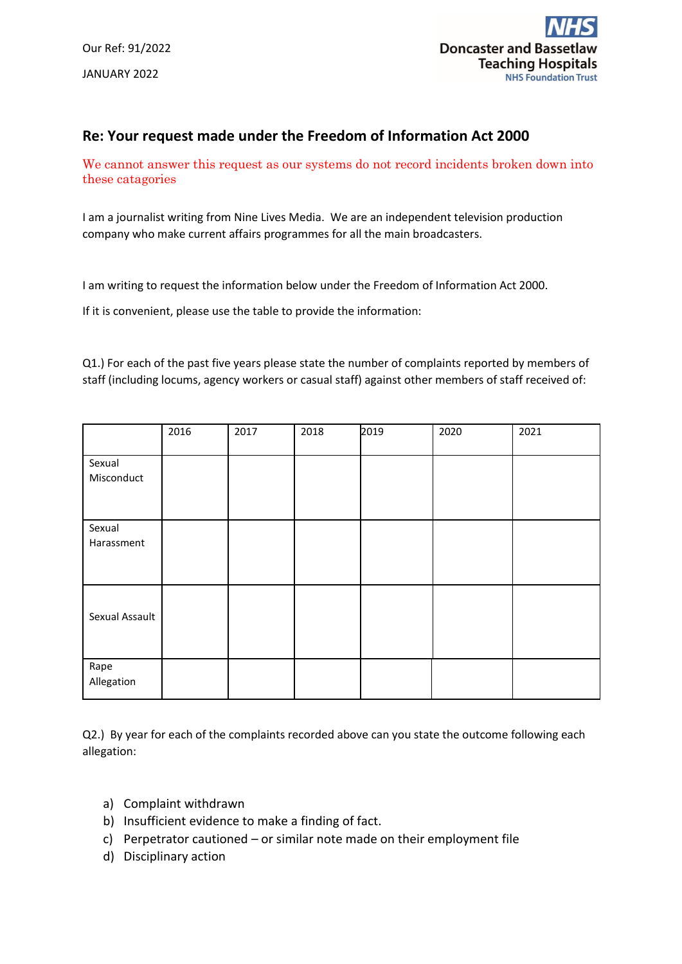

## **Re: Your request made under the Freedom of Information Act 2000**

We cannot answer this request as our systems do not record incidents broken down into these catagories

I am a journalist writing from Nine Lives Media. We are an independent television production company who make current affairs programmes for all the main broadcasters.

I am writing to request the information below under the Freedom of Information Act 2000.

If it is convenient, please use the table to provide the information:

Q1.) For each of the past five years please state the number of complaints reported by members of staff (including locums, agency workers or casual staff) against other members of staff received of:

|                      | 2016 | 2017 | 2018 | 2019 | 2020 | 2021 |
|----------------------|------|------|------|------|------|------|
| Sexual<br>Misconduct |      |      |      |      |      |      |
| Sexual<br>Harassment |      |      |      |      |      |      |
| Sexual Assault       |      |      |      |      |      |      |
| Rape<br>Allegation   |      |      |      |      |      |      |

Q2.) By year for each of the complaints recorded above can you state the outcome following each allegation:

- a) Complaint withdrawn
- b) Insufficient evidence to make a finding of fact.
- c) Perpetrator cautioned or similar note made on their employment file
- d) Disciplinary action